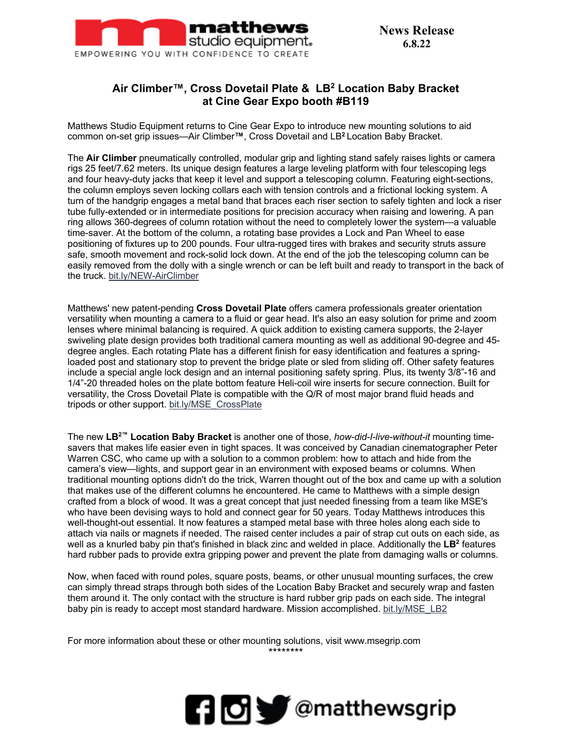

## **Air Climber™, Cross Dovetail Plate & LB2 Location Baby Bracket at Cine Gear Expo booth #B119**

Matthews Studio Equipment returns to Cine Gear Expo to introduce new mounting solutions to aid common on-set grip issues—Air Climber**™**, Cross Dovetail and LB**<sup>2</sup>**Location Baby Bracket.

The **Air Climber** pneumatically controlled, modular grip and lighting stand safely raises lights or camera rigs 25 feet/7.62 meters. Its unique design features a large leveling platform with four telescoping legs and four heavy-duty jacks that keep it level and support a telescoping column. Featuring eight-sections, the column employs seven locking collars each with tension controls and a frictional locking system. A turn of the handgrip engages a metal band that braces each riser section to safely tighten and lock a riser tube fully-extended or in intermediate positions for precision accuracy when raising and lowering. A pan ring allows 360-degrees of column rotation without the need to completely lower the system—a valuable time-saver. At the bottom of the column, a rotating base provides a Lock and Pan Wheel to ease positioning of fixtures up to 200 pounds. Four ultra-rugged tires with brakes and security struts assure safe, smooth movement and rock-solid lock down. At the end of the job the telescoping column can be easily removed from the dolly with a single wrench or can be left built and ready to transport in the back of the truck. bit.ly/NEW-AirClimber

Matthews' new patent-pending **Cross Dovetail Plate** offers camera professionals greater orientation versatility when mounting a camera to a fluid or gear head. It's also an easy solution for prime and zoom lenses where minimal balancing is required. A quick addition to existing camera supports, the 2-layer swiveling plate design provides both traditional camera mounting as well as additional 90-degree and 45 degree angles. Each rotating Plate has a different finish for easy identification and features a springloaded post and stationary stop to prevent the bridge plate or sled from sliding off. Other safety features include a special angle lock design and an internal positioning safety spring. Plus, its twenty 3/8"-16 and 1/4"-20 threaded holes on the plate bottom feature Heli-coil wire inserts for secure connection. Built for versatility, the Cross Dovetail Plate is compatible with the Q/R of most major brand fluid heads and tripods or other support. bit.ly/MSE\_CrossPlate

The new **LB2™ Location Baby Bracket** is another one of those, *how-did-I-live-without-it* mounting timesavers that makes life easier even in tight spaces. It was conceived by Canadian cinematographer Peter Warren CSC, who came up with a solution to a common problem: how to attach and hide from the camera's view—lights, and support gear in an environment with exposed beams or columns. When traditional mounting options didn't do the trick, Warren thought out of the box and came up with a solution that makes use of the different columns he encountered. He came to Matthews with a simple design crafted from a block of wood. It was a great concept that just needed finessing from a team like MSE's who have been devising ways to hold and connect gear for 50 years. Today Matthews introduces this well-thought-out essential. It now features a stamped metal base with three holes along each side to attach via nails or magnets if needed. The raised center includes a pair of strap cut outs on each side, as well as a knurled baby pin that's finished in black zinc and welded in place. Additionally the **LB2** features hard rubber pads to provide extra gripping power and prevent the plate from damaging walls or columns.

Now, when faced with round poles, square posts, beams, or other unusual mounting surfaces, the crew can simply thread straps through both sides of the Location Baby Bracket and securely wrap and fasten them around it. The only contact with the structure is hard rubber grip pads on each side. The integral baby pin is ready to accept most standard hardware. Mission accomplished. bit.ly/MSE\_LB2

For more information about these or other mounting solutions, visit www.msegrip.com \*\*\*\*\*\*\*\*